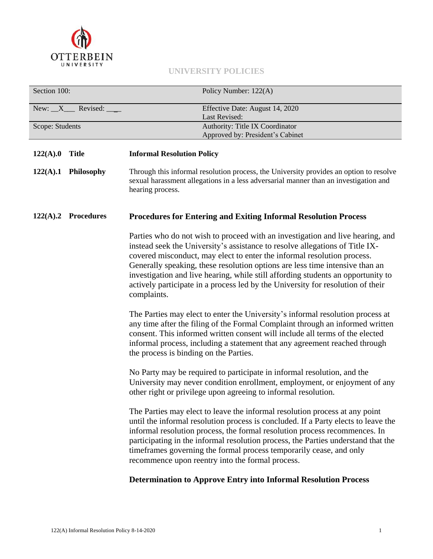

# **UNIVERSITY POLICIES**

| Section 100:                    | Policy Number: 122(A)                                                                                                                                                                                                                                                                                                                                                                                                                                                                                           |
|---------------------------------|-----------------------------------------------------------------------------------------------------------------------------------------------------------------------------------------------------------------------------------------------------------------------------------------------------------------------------------------------------------------------------------------------------------------------------------------------------------------------------------------------------------------|
| New: $X$ Revised: $\_\_\_\_\_\$ | Effective Date: August 14, 2020<br>Last Revised:                                                                                                                                                                                                                                                                                                                                                                                                                                                                |
| Scope: Students                 | Authority: Title IX Coordinator                                                                                                                                                                                                                                                                                                                                                                                                                                                                                 |
|                                 | Approved by: President's Cabinet                                                                                                                                                                                                                                                                                                                                                                                                                                                                                |
| 122(A).0<br><b>Title</b>        | <b>Informal Resolution Policy</b>                                                                                                                                                                                                                                                                                                                                                                                                                                                                               |
| 122(A).1<br>Philosophy          | Through this informal resolution process, the University provides an option to resolve<br>sexual harassment allegations in a less adversarial manner than an investigation and<br>hearing process.                                                                                                                                                                                                                                                                                                              |
| 122(A).2 Procedures             | <b>Procedures for Entering and Exiting Informal Resolution Process</b>                                                                                                                                                                                                                                                                                                                                                                                                                                          |
|                                 | Parties who do not wish to proceed with an investigation and live hearing, and<br>instead seek the University's assistance to resolve allegations of Title IX-<br>covered misconduct, may elect to enter the informal resolution process.<br>Generally speaking, these resolution options are less time intensive than an<br>investigation and live hearing, while still affording students an opportunity to<br>actively participate in a process led by the University for resolution of their<br>complaints. |
|                                 | The Parties may elect to enter the University's informal resolution process at<br>any time after the filing of the Formal Complaint through an informed written<br>consent. This informed written consent will include all terms of the elected<br>informal process, including a statement that any agreement reached through<br>the process is binding on the Parties.                                                                                                                                         |
|                                 | No Party may be required to participate in informal resolution, and the<br>University may never condition enrollment, employment, or enjoyment of any<br>other right or privilege upon agreeing to informal resolution.                                                                                                                                                                                                                                                                                         |
|                                 | The Parties may elect to leave the informal resolution process at any point<br>until the informal resolution process is concluded. If a Party elects to leave the<br>informal resolution process, the formal resolution process recommences. In<br>participating in the informal resolution process, the Parties understand that the<br>timeframes governing the formal process temporarily cease, and only<br>recommence upon reentry into the formal process.                                                 |
|                                 | <b>Determination to Approve Entry into Informal Resolution Process</b>                                                                                                                                                                                                                                                                                                                                                                                                                                          |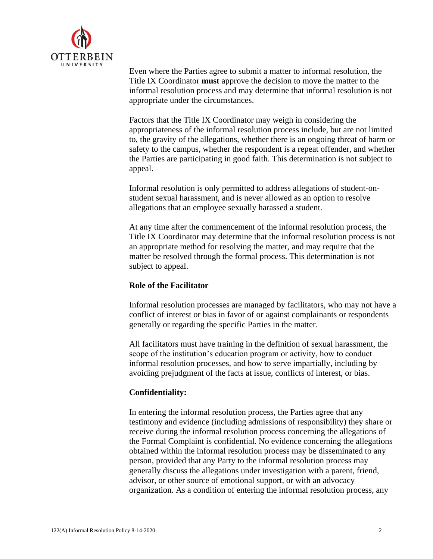

Even where the Parties agree to submit a matter to informal resolution, the Title IX Coordinator **must** approve the decision to move the matter to the informal resolution process and may determine that informal resolution is not appropriate under the circumstances.

Factors that the Title IX Coordinator may weigh in considering the appropriateness of the informal resolution process include, but are not limited to, the gravity of the allegations, whether there is an ongoing threat of harm or safety to the campus, whether the respondent is a repeat offender, and whether the Parties are participating in good faith. This determination is not subject to appeal.

Informal resolution is only permitted to address allegations of student-onstudent sexual harassment, and is never allowed as an option to resolve allegations that an employee sexually harassed a student.

At any time after the commencement of the informal resolution process, the Title IX Coordinator may determine that the informal resolution process is not an appropriate method for resolving the matter, and may require that the matter be resolved through the formal process. This determination is not subject to appeal.

# **Role of the Facilitator**

Informal resolution processes are managed by facilitators, who may not have a conflict of interest or bias in favor of or against complainants or respondents generally or regarding the specific Parties in the matter.

All facilitators must have training in the definition of sexual harassment, the scope of the institution's education program or activity, how to conduct informal resolution processes, and how to serve impartially, including by avoiding prejudgment of the facts at issue, conflicts of interest, or bias.

### **Confidentiality:**

In entering the informal resolution process, the Parties agree that any testimony and evidence (including admissions of responsibility) they share or receive during the informal resolution process concerning the allegations of the Formal Complaint is confidential. No evidence concerning the allegations obtained within the informal resolution process may be disseminated to any person, provided that any Party to the informal resolution process may generally discuss the allegations under investigation with a parent, friend, advisor, or other source of emotional support, or with an advocacy organization. As a condition of entering the informal resolution process, any